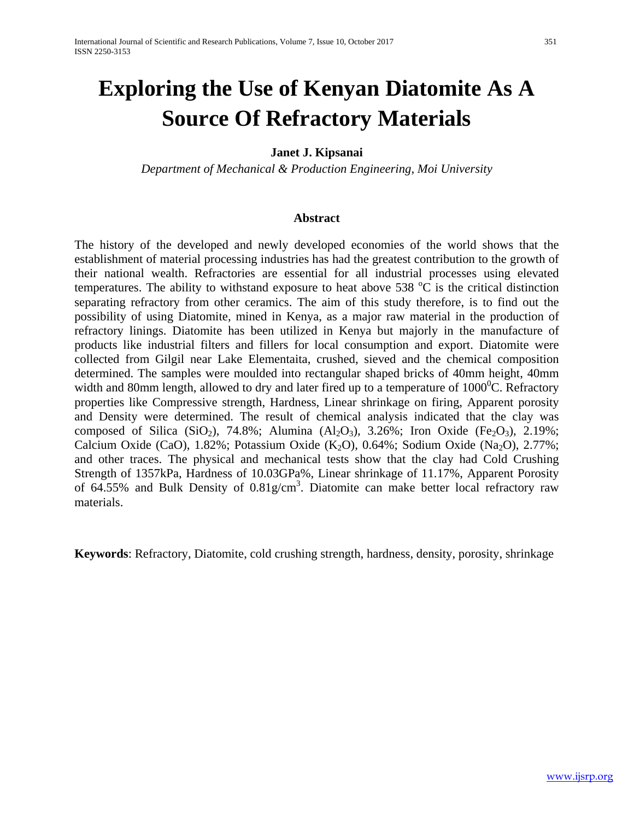# **Exploring the Use of Kenyan Diatomite As A Source Of Refractory Materials**

#### **Janet J. Kipsanai**

*Department of Mechanical & Production Engineering, Moi University*

#### **Abstract**

The history of the developed and newly developed economies of the world shows that the establishment of material processing industries has had the greatest contribution to the growth of their national wealth. Refractories are essential for all industrial processes using elevated temperatures. The ability to withstand exposure to heat above 538  $\degree$ C is the critical distinction separating refractory from other ceramics. The aim of this study therefore, is to find out the possibility of using Diatomite, mined in Kenya, as a major raw material in the production of refractory linings. Diatomite has been utilized in Kenya but majorly in the manufacture of products like industrial filters and fillers for local consumption and export. Diatomite were collected from Gilgil near Lake Elementaita, crushed, sieved and the chemical composition determined. The samples were moulded into rectangular shaped bricks of 40mm height, 40mm width and 80mm length, allowed to dry and later fired up to a temperature of  $1000^{\circ}$ C. Refractory properties like Compressive strength, Hardness, Linear shrinkage on firing, Apparent porosity and Density were determined. The result of chemical analysis indicated that the clay was composed of Silica (SiO<sub>2</sub>), 74.8%; Alumina (Al<sub>2</sub>O<sub>3</sub>), 3.26%; Iron Oxide (Fe<sub>2</sub>O<sub>3</sub>), 2.19%; Calcium Oxide (CaO),  $1.82\%$ ; Potassium Oxide (K<sub>2</sub>O),  $0.64\%$ ; Sodium Oxide (Na<sub>2</sub>O),  $2.77\%$ ; and other traces. The physical and mechanical tests show that the clay had Cold Crushing Strength of 1357kPa, Hardness of 10.03GPa%, Linear shrinkage of 11.17%, Apparent Porosity of 64.55% and Bulk Density of  $0.81$ g/cm<sup>3</sup>. Diatomite can make better local refractory raw materials.

**Keywords**: Refractory, Diatomite, cold crushing strength, hardness, density, porosity, shrinkage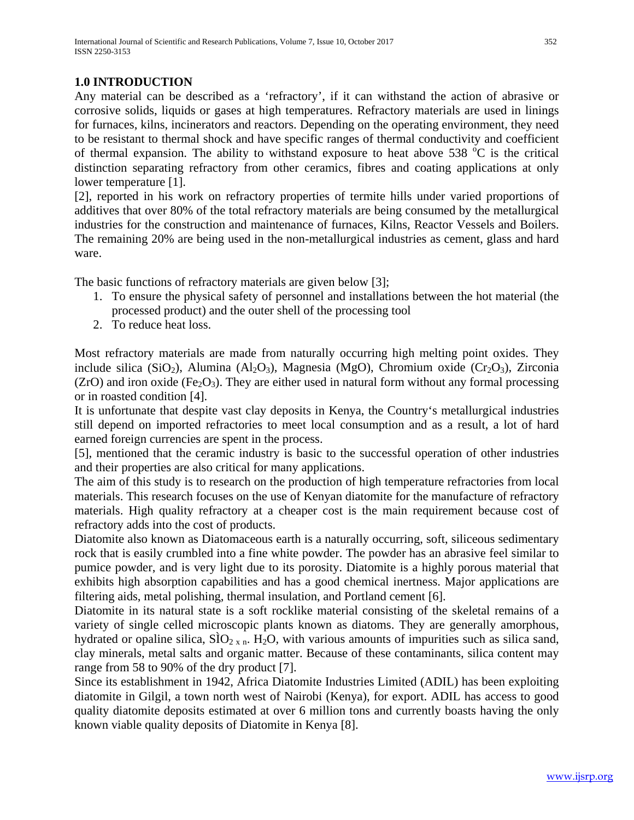# **1.0 INTRODUCTION**

Any material can be described as a 'refractory', if it can withstand the action of abrasive or corrosive solids, liquids or gases at high temperatures. Refractory materials are used in linings for furnaces, kilns, incinerators and reactors. Depending on the operating environment, they need to be resistant to thermal shock and have specific ranges of thermal conductivity and coefficient of thermal expansion. The ability to withstand exposure to heat above 538  $^{\circ}$ C is the critical distinction separating refractory from other ceramics, fibres and coating applications at only lower temperature [1].

[2], reported in his work on refractory properties of termite hills under varied proportions of additives that over 80% of the total refractory materials are being consumed by the metallurgical industries for the construction and maintenance of furnaces, Kilns, Reactor Vessels and Boilers. The remaining 20% are being used in the non-metallurgical industries as cement, glass and hard ware.

The basic functions of refractory materials are given below [3];

- 1. To ensure the physical safety of personnel and installations between the hot material (the processed product) and the outer shell of the processing tool
- 2. To reduce heat loss.

Most refractory materials are made from naturally occurring high melting point oxides. They include silica (SiO<sub>2</sub>), Alumina (Al<sub>2</sub>O<sub>3</sub>), Magnesia (MgO), Chromium oxide (Cr<sub>2</sub>O<sub>3</sub>), Zirconia (ZrO) and iron oxide (Fe<sub>2</sub>O<sub>3</sub>). They are either used in natural form without any formal processing or in roasted condition [4].

It is unfortunate that despite vast clay deposits in Kenya, the Country's metallurgical industries still depend on imported refractories to meet local consumption and as a result, a lot of hard earned foreign currencies are spent in the process.

[5], mentioned that the ceramic industry is basic to the successful operation of other industries and their properties are also critical for many applications.

The aim of this study is to research on the production of high temperature refractories from local materials. This research focuses on the use of Kenyan diatomite for the manufacture of refractory materials. High quality refractory at a cheaper cost is the main requirement because cost of refractory adds into the cost of products.

Diatomite also known as Diatomaceous earth is a naturally occurring, soft, siliceous sedimentary rock that is easily crumbled into a fine white powder. The powder has an abrasive feel similar to pumice powder, and is very light due to its porosity. Diatomite is a highly porous material that exhibits high absorption capabilities and has a good chemical inertness. Major applications are filtering aids, metal polishing, thermal insulation, and Portland cement [6].

Diatomite in its natural state is a soft rocklike material consisting of the skeletal remains of a variety of single celled microscopic plants known as diatoms. They are generally amorphous, hydrated or opaline silica,  $\overline{SIO}_{2 \times n}$ . H<sub>2</sub>O, with various amounts of impurities such as silica sand, clay minerals, metal salts and organic matter. Because of these contaminants, silica content may range from 58 to 90% of the dry product [7].

Since its establishment in 1942, Africa Diatomite Industries Limited (ADIL) has been exploiting diatomite in Gilgil, a town north west of Nairobi (Kenya), for export. ADIL has access to good quality diatomite deposits estimated at over 6 million tons and currently boasts having the only known viable quality deposits of Diatomite in Kenya [8].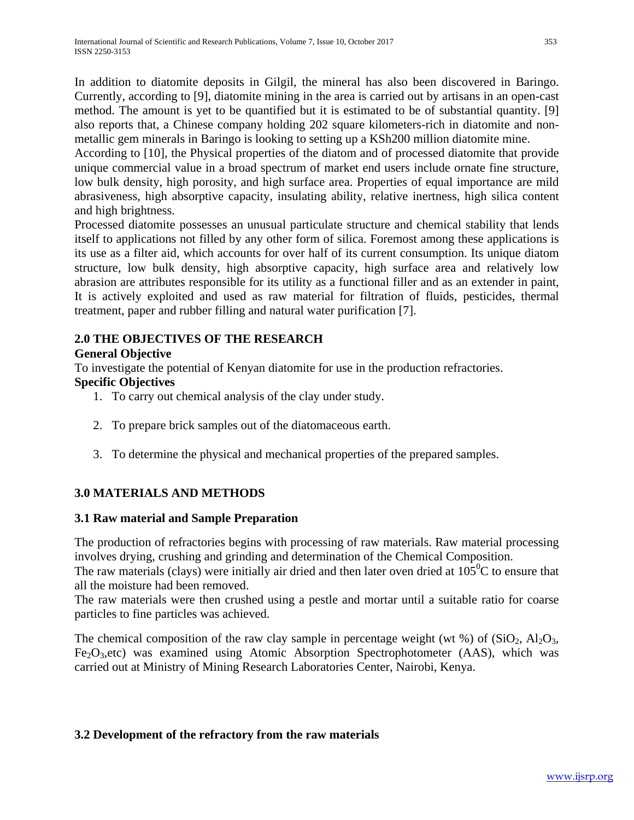In addition to diatomite deposits in Gilgil, the mineral has also been discovered in Baringo. Currently, according to [9], diatomite mining in the area is carried out by artisans in an open-cast method. The amount is yet to be quantified but it is estimated to be of substantial quantity. [9] also reports that, a Chinese company holding 202 square kilometers-rich in diatomite and nonmetallic gem minerals in Baringo is looking to setting up a KSh200 million diatomite mine.

According to [10], the Physical properties of the diatom and of processed diatomite that provide unique commercial value in a broad spectrum of market end users include ornate fine structure, low bulk density, high porosity, and high surface area. Properties of equal importance are mild abrasiveness, high absorptive capacity, insulating ability, relative inertness, high silica content and high brightness.

Processed diatomite possesses an unusual particulate structure and chemical stability that lends itself to applications not filled by any other form of silica. Foremost among these applications is its use as a filter aid, which accounts for over half of its current consumption. Its unique diatom structure, low bulk density, high absorptive capacity, high surface area and relatively low abrasion are attributes responsible for its utility as a functional filler and as an extender in paint, It is actively exploited and used as raw material for filtration of fluids, pesticides, thermal treatment, paper and rubber filling and natural water purification [7].

# **2.0 THE OBJECTIVES OF THE RESEARCH**

## **General Objective**

To investigate the potential of Kenyan diatomite for use in the production refractories. **Specific Objectives** 

- 1. To carry out chemical analysis of the clay under study.
- 2. To prepare brick samples out of the diatomaceous earth.
- 3. To determine the physical and mechanical properties of the prepared samples.

# **3.0 MATERIALS AND METHODS**

## **3.1 Raw material and Sample Preparation**

The production of refractories begins with processing of raw materials. Raw material processing involves drying, crushing and grinding and determination of the Chemical Composition.

The raw materials (clays) were initially air dried and then later oven dried at  $105^{\circ}$ C to ensure that all the moisture had been removed.

The raw materials were then crushed using a pestle and mortar until a suitable ratio for coarse particles to fine particles was achieved.

The chemical composition of the raw clay sample in percentage weight (wt %) of  $(SiO<sub>2</sub>, Al<sub>2</sub>O<sub>3</sub>)$ ,  $Fe<sub>2</sub>O<sub>3</sub>$ , etc) was examined using Atomic Absorption Spectrophotometer (AAS), which was carried out at Ministry of Mining Research Laboratories Center, Nairobi, Kenya.

## **3.2 Development of the refractory from the raw materials**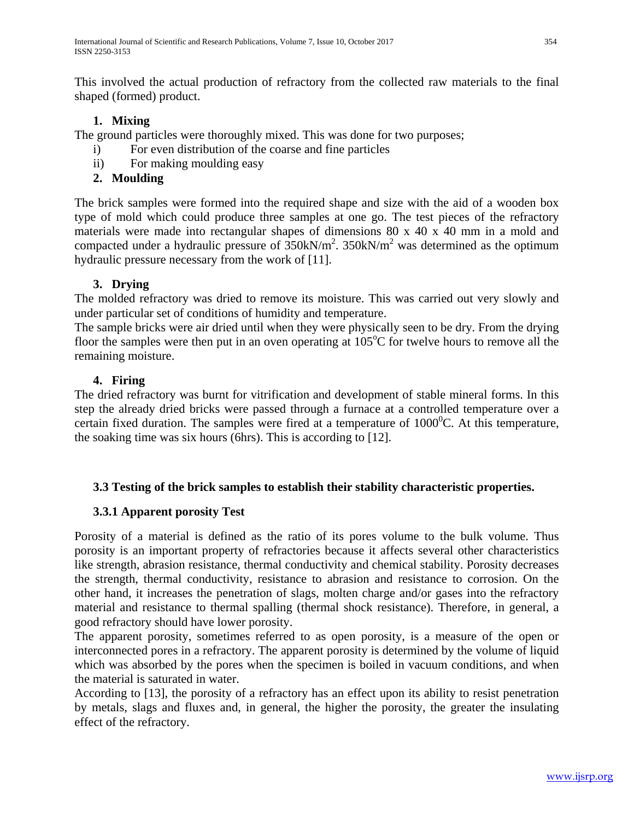This involved the actual production of refractory from the collected raw materials to the final shaped (formed) product.

# **1. Mixing**

The ground particles were thoroughly mixed. This was done for two purposes;

- i) For even distribution of the coarse and fine particles
- ii) For making moulding easy

# **2. Moulding**

The brick samples were formed into the required shape and size with the aid of a wooden box type of mold which could produce three samples at one go. The test pieces of the refractory materials were made into rectangular shapes of dimensions 80 x 40 x 40 mm in a mold and compacted under a hydraulic pressure of  $350kN/m^2$ .  $350kN/m^2$  was determined as the optimum hydraulic pressure necessary from the work of [11].

# **3. Drying**

The molded refractory was dried to remove its moisture. This was carried out very slowly and under particular set of conditions of humidity and temperature.

The sample bricks were air dried until when they were physically seen to be dry. From the drying floor the samples were then put in an oven operating at  $105^{\circ}$ C for twelve hours to remove all the remaining moisture.

# **4. Firing**

The dried refractory was burnt for vitrification and development of stable mineral forms. In this step the already dried bricks were passed through a furnace at a controlled temperature over a certain fixed duration. The samples were fired at a temperature of  $1000^{\circ}$ C. At this temperature, the soaking time was six hours (6hrs). This is according to [12].

# **3.3 Testing of the brick samples to establish their stability characteristic properties.**

# **3.3.1 Apparent porosity Test**

Porosity of a material is defined as the ratio of its pores volume to the bulk volume. Thus porosity is an important property of refractories because it affects several other characteristics like strength, abrasion resistance, thermal conductivity and chemical stability. Porosity decreases the strength, thermal conductivity, resistance to abrasion and resistance to corrosion. On the other hand, it increases the penetration of slags, molten charge and/or gases into the refractory material and resistance to thermal spalling (thermal shock resistance). Therefore, in general, a good refractory should have lower porosity.

The apparent porosity, sometimes referred to as open porosity, is a measure of the open or interconnected pores in a refractory. The apparent porosity is determined by the volume of liquid which was absorbed by the pores when the specimen is boiled in vacuum conditions, and when the material is saturated in water.

According to [13], the porosity of a refractory has an effect upon its ability to resist penetration by metals, slags and fluxes and, in general, the higher the porosity, the greater the insulating effect of the refractory.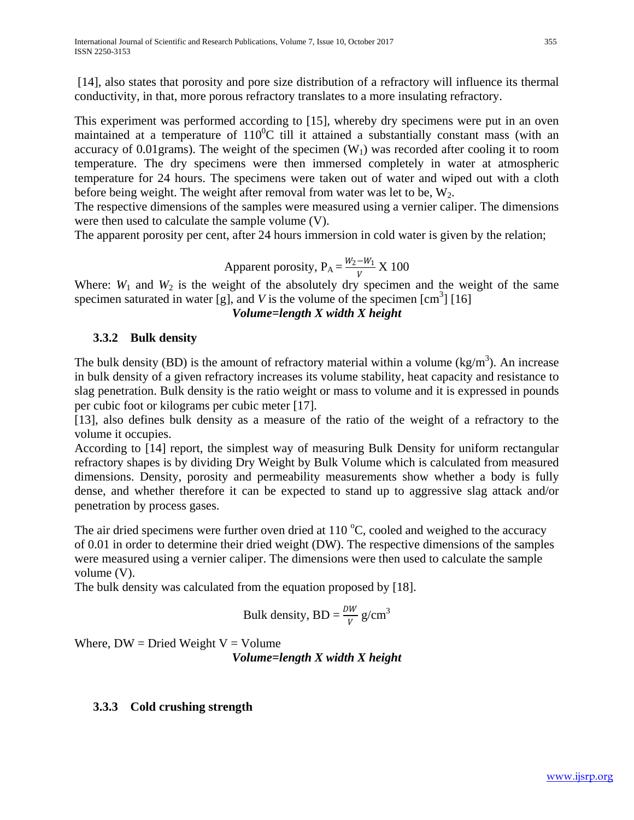[14], also states that porosity and pore size distribution of a refractory will influence its thermal conductivity, in that, more porous refractory translates to a more insulating refractory.

This experiment was performed according to [15], whereby dry specimens were put in an oven maintained at a temperature of  $110^0C$  till it attained a substantially constant mass (with an accuracy of 0.01grams). The weight of the specimen  $(W_1)$  was recorded after cooling it to room temperature. The dry specimens were then immersed completely in water at atmospheric temperature for 24 hours. The specimens were taken out of water and wiped out with a cloth before being weight. The weight after removal from water was let to be,  $W_2$ .

The respective dimensions of the samples were measured using a vernier caliper. The dimensions were then used to calculate the sample volume (V).

The apparent porosity per cent, after 24 hours immersion in cold water is given by the relation;

Apparent porosity, 
$$
P_A = \frac{W_2 - W_1}{V} X 100
$$

Where:  $W_1$  and  $W_2$  is the weight of the absolutely dry specimen and the weight of the same specimen saturated in water [g], and  $V$  is the volume of the specimen  $\text{[cm}^3\text{]}$  [16]

*Volume=length X width X height*

#### **3.3.2 Bulk density**

The bulk density (BD) is the amount of refractory material within a volume  $(kg/m<sup>3</sup>)$ . An increase in bulk density of a given refractory increases its volume stability, heat capacity and resistance to slag penetration. Bulk density is the ratio weight or mass to volume and it is expressed in pounds per cubic foot or kilograms per cubic meter [17].

[13], also defines bulk density as a measure of the ratio of the weight of a refractory to the volume it occupies.

According to [14] report, the simplest way of measuring Bulk Density for uniform rectangular refractory shapes is by dividing Dry Weight by Bulk Volume which is calculated from measured dimensions. Density, porosity and permeability measurements show whether a body is fully dense, and whether therefore it can be expected to stand up to aggressive slag attack and/or penetration by process gases.

The air dried specimens were further oven dried at  $110\,^{\circ}\text{C}$ , cooled and weighed to the accuracy of 0.01 in order to determine their dried weight (DW). The respective dimensions of the samples were measured using a vernier caliper. The dimensions were then used to calculate the sample volume (V).

The bulk density was calculated from the equation proposed by [18].

Bulk density, BD = 
$$
\frac{DW}{V}
$$
 g/cm<sup>3</sup>

Where,  $DW = Dried Weight V = Volume$ 

*Volume=length X width X height*

## **3.3.3 Cold crushing strength**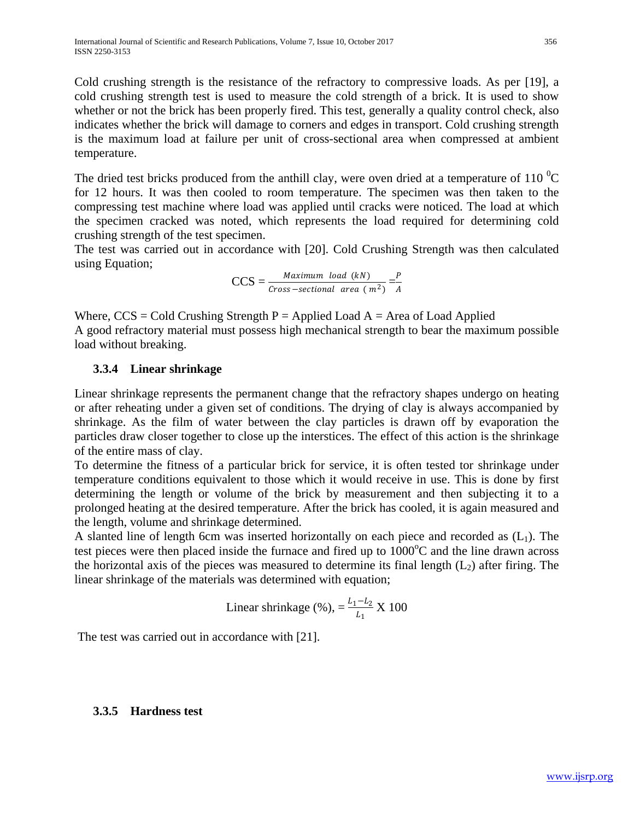Cold crushing strength is the resistance of the refractory to compressive loads. As per [19], a cold crushing strength test is used to measure the cold strength of a brick. It is used to show whether or not the brick has been properly fired. This test, generally a quality control check, also indicates whether the brick will damage to corners and edges in transport. Cold crushing strength is the maximum load at failure per unit of cross-sectional area when compressed at ambient temperature.

The dried test bricks produced from the anthill clay, were oven dried at a temperature of 110  $^{0}$ C for 12 hours. It was then cooled to room temperature. The specimen was then taken to the compressing test machine where load was applied until cracks were noticed. The load at which the specimen cracked was noted, which represents the load required for determining cold crushing strength of the test specimen.

The test was carried out in accordance with [20]. Cold Crushing Strength was then calculated using Equation;

$$
CCS = \frac{Maximum \ load (kN)}{Cross-sectional \ area (m^2)} = \frac{P}{A}
$$

Where,  $CCS = Cold$  Crushing Strength P = Applied Load A = Area of Load Applied A good refractory material must possess high mechanical strength to bear the maximum possible load without breaking.

#### **3.3.4 Linear shrinkage**

Linear shrinkage represents the permanent change that the refractory shapes undergo on heating or after reheating under a given set of conditions. The drying of clay is always accompanied by shrinkage. As the film of water between the clay particles is drawn off by evaporation the particles draw closer together to close up the interstices. The effect of this action is the shrinkage of the entire mass of clay.

To determine the fitness of a particular brick for service, it is often tested tor shrinkage under temperature conditions equivalent to those which it would receive in use. This is done by first determining the length or volume of the brick by measurement and then subjecting it to a prolonged heating at the desired temperature. After the brick has cooled, it is again measured and the length, volume and shrinkage determined.

A slanted line of length 6cm was inserted horizontally on each piece and recorded as  $(L_1)$ . The test pieces were then placed inside the furnace and fired up to  $1000^{\circ}$ C and the line drawn across the horizontal axis of the pieces was measured to determine its final length  $(L<sub>2</sub>)$  after firing. The linear shrinkage of the materials was determined with equation;

Linear shrinkage (%), 
$$
=
$$
  $\frac{L_1 - L_2}{L_1}$  X 100

The test was carried out in accordance with [21].

#### **3.3.5 Hardness test**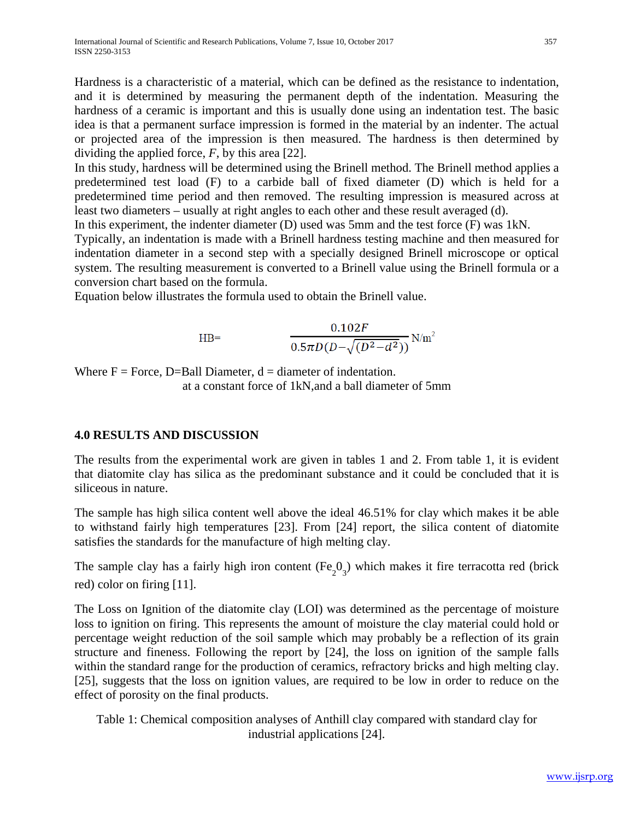Hardness is a characteristic of a material, which can be defined as the resistance to indentation, and it is determined by measuring the permanent depth of the indentation. Measuring the hardness of a ceramic is important and this is usually done using an indentation test. The basic idea is that a permanent surface impression is formed in the material by an indenter. The actual or projected area of the impression is then measured. The hardness is then determined by dividing the applied force, *F*, by this area [22].

In this study, hardness will be determined using the Brinell method. The Brinell method applies a predetermined test load (F) to a carbide ball of fixed diameter (D) which is held for a predetermined time period and then removed. The resulting impression is measured across at least two diameters – usually at right angles to each other and these result averaged (d).

In this experiment, the indenter diameter (D) used was 5mm and the test force (F) was 1kN.

Typically, an indentation is made with a Brinell hardness testing machine and then measured for indentation diameter in a second step with a specially designed Brinell microscope or optical system. The resulting measurement is converted to a Brinell value using the Brinell formula or a conversion chart based on the formula.

Equation below illustrates the formula used to obtain the Brinell value.

$$
\text{HB=}\qquad \qquad \frac{0.102F}{0.5\pi D(D-\sqrt{(D^2-d^2)})} \text{N/m}^2
$$

Where  $F = Force$ , D=Ball Diameter,  $d = diameter$  of indentation. at a constant force of 1kN,and a ball diameter of 5mm

## **4.0 RESULTS AND DISCUSSION**

The results from the experimental work are given in tables 1 and 2. From table 1, it is evident that diatomite clay has silica as the predominant substance and it could be concluded that it is siliceous in nature.

The sample has high silica content well above the ideal 46.51% for clay which makes it be able to withstand fairly high temperatures [23]. From [24] report, the silica content of diatomite satisfies the standards for the manufacture of high melting clay.

The sample clay has a fairly high iron content  $(Fe<sub>2</sub>O<sub>3</sub>)$  which makes it fire terracotta red (brick red) color on firing [11].

The Loss on Ignition of the diatomite clay (LOI) was determined as the percentage of moisture loss to ignition on firing. This represents the amount of moisture the clay material could hold or percentage weight reduction of the soil sample which may probably be a reflection of its grain structure and fineness. Following the report by [24], the loss on ignition of the sample falls within the standard range for the production of ceramics, refractory bricks and high melting clay. [25], suggests that the loss on ignition values, are required to be low in order to reduce on the effect of porosity on the final products.

Table 1: Chemical composition analyses of Anthill clay compared with standard clay for industrial applications [24].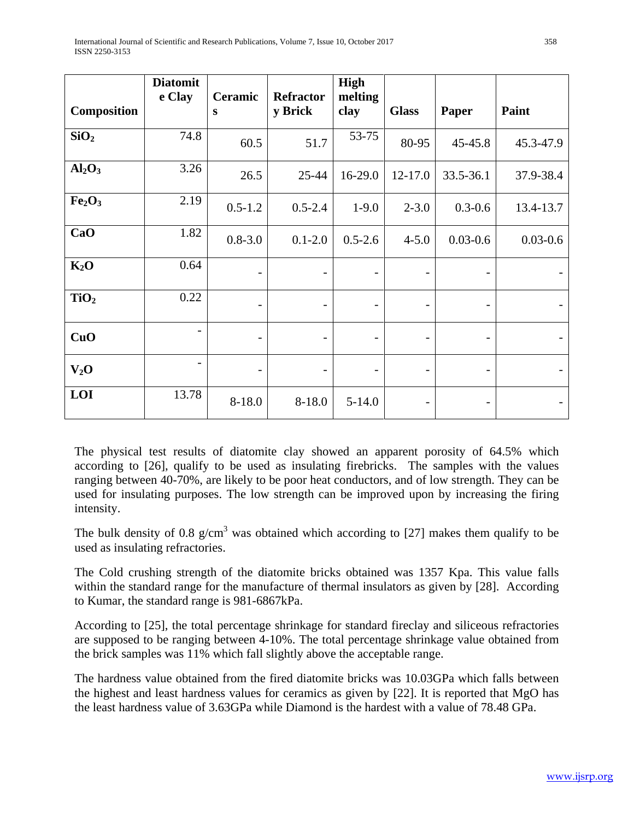|                                | <b>Diatomit</b><br>e Clay | Ceramic     | <b>Refractor</b>         | <b>High</b><br>melting       |              |              |              |
|--------------------------------|---------------------------|-------------|--------------------------|------------------------------|--------------|--------------|--------------|
| <b>Composition</b>             |                           | S           | y Brick                  | clay                         | <b>Glass</b> | Paper        | Paint        |
| SiO <sub>2</sub>               | 74.8                      | 60.5        | 51.7                     | 53-75                        | 80-95        | 45-45.8      | 45.3-47.9    |
| Al <sub>2</sub> O <sub>3</sub> | 3.26                      | 26.5        | 25-44                    | 16-29.0                      | $12 - 17.0$  | 33.5-36.1    | 37.9-38.4    |
| Fe <sub>2</sub> O <sub>3</sub> | 2.19                      | $0.5 - 1.2$ | $0.5 - 2.4$              | $1-9.0$                      | $2 - 3.0$    | $0.3 - 0.6$  | 13.4-13.7    |
| CaO                            | 1.82                      | $0.8 - 3.0$ | $0.1 - 2.0$              | $0.5 - 2.6$                  | $4 - 5.0$    | $0.03 - 0.6$ | $0.03 - 0.6$ |
| $K_2O$                         | 0.64                      |             | -                        | $\qquad \qquad -$            |              |              |              |
| TiO <sub>2</sub>               | 0.22                      |             | $\overline{\phantom{0}}$ | $\qquad \qquad \blacksquare$ |              |              |              |
| CuO                            | -                         |             | $\qquad \qquad$          | $\qquad \qquad -$            |              |              |              |
| $V_2O$                         |                           |             |                          |                              |              |              |              |
| LOI                            | 13.78                     | $8 - 18.0$  | $8 - 18.0$               | $5 - 14.0$                   |              |              |              |

The physical test results of diatomite clay showed an apparent porosity of 64.5% which according to [26], qualify to be used as insulating firebricks. The samples with the values ranging between 40-70%, are likely to be poor heat conductors, and of low strength. They can be used for insulating purposes. The low strength can be improved upon by increasing the firing intensity.

The bulk density of 0.8  $g/cm<sup>3</sup>$  was obtained which according to [27] makes them qualify to be used as insulating refractories.

The Cold crushing strength of the diatomite bricks obtained was 1357 Kpa. This value falls within the standard range for the manufacture of thermal insulators as given by [28]. According to Kumar, the standard range is 981-6867kPa.

According to [25], the total percentage shrinkage for standard fireclay and siliceous refractories are supposed to be ranging between 4-10%. The total percentage shrinkage value obtained from the brick samples was 11% which fall slightly above the acceptable range.

The hardness value obtained from the fired diatomite bricks was 10.03GPa which falls between the highest and least hardness values for ceramics as given by [22]. It is reported that MgO has the least hardness value of 3.63GPa while Diamond is the hardest with a value of 78.48 GPa.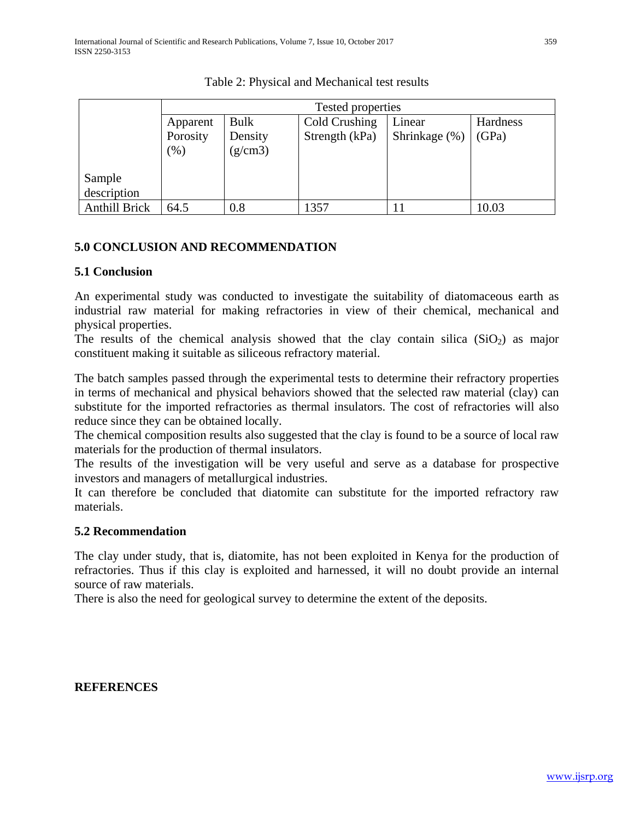|                      | Tested properties |         |                |               |          |  |  |  |
|----------------------|-------------------|---------|----------------|---------------|----------|--|--|--|
|                      | Apparent          | Bulk    | Cold Crushing  | Linear        | Hardness |  |  |  |
|                      | Porosity          | Density | Strength (kPa) | Shrinkage (%) | (GPa)    |  |  |  |
|                      | (96)              | (g/cm3) |                |               |          |  |  |  |
|                      |                   |         |                |               |          |  |  |  |
| Sample               |                   |         |                |               |          |  |  |  |
| description          |                   |         |                |               |          |  |  |  |
| <b>Anthill Brick</b> | 64.5              | 0.8     | 1357           |               | 10.03    |  |  |  |

Table 2: Physical and Mechanical test results

## **5.0 CONCLUSION AND RECOMMENDATION**

#### **5.1 Conclusion**

An experimental study was conducted to investigate the suitability of diatomaceous earth as industrial raw material for making refractories in view of their chemical, mechanical and physical properties.

The results of the chemical analysis showed that the clay contain silica  $(SiO<sub>2</sub>)$  as major constituent making it suitable as siliceous refractory material.

The batch samples passed through the experimental tests to determine their refractory properties in terms of mechanical and physical behaviors showed that the selected raw material (clay) can substitute for the imported refractories as thermal insulators. The cost of refractories will also reduce since they can be obtained locally.

The chemical composition results also suggested that the clay is found to be a source of local raw materials for the production of thermal insulators.

The results of the investigation will be very useful and serve as a database for prospective investors and managers of metallurgical industries.

It can therefore be concluded that diatomite can substitute for the imported refractory raw materials.

#### **5.2 Recommendation**

The clay under study, that is, diatomite, has not been exploited in Kenya for the production of refractories. Thus if this clay is exploited and harnessed, it will no doubt provide an internal source of raw materials.

There is also the need for geological survey to determine the extent of the deposits.

## **REFERENCES**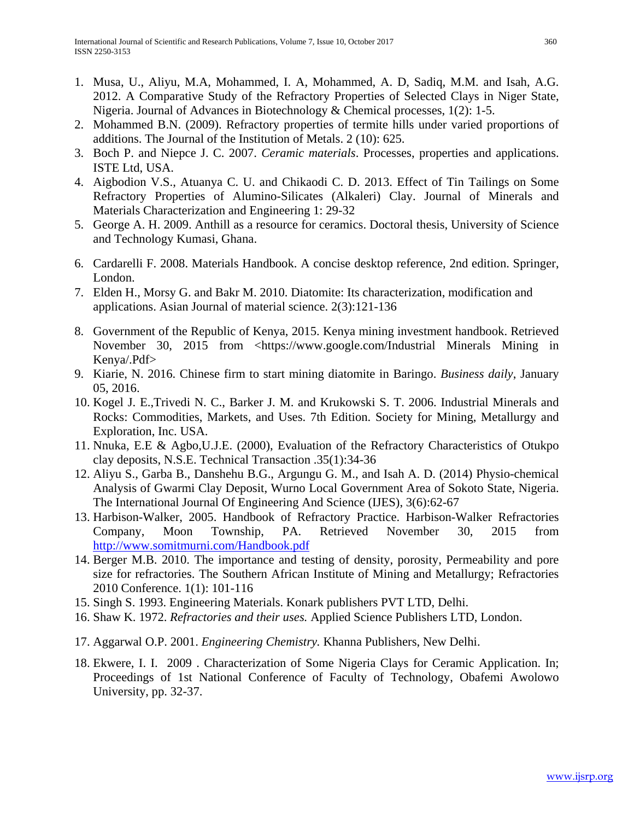- 1. Musa, U., Aliyu, M.A, Mohammed, I. A, Mohammed, A. D, Sadiq, M.M. and Isah, A.G. 2012. A Comparative Study of the Refractory Properties of Selected Clays in Niger State, Nigeria. Journal of Advances in Biotechnology & Chemical processes, 1(2): 1-5.
- 2. Mohammed B.N. (2009). Refractory properties of termite hills under varied proportions of additions. The Journal of the Institution of Metals. 2 (10): 625.
- 3. Boch P. and Niepce J. C. 2007. *Ceramic materials*. Processes, properties and applications. ISTE Ltd, USA.
- 4. Aigbodion V.S., Atuanya C. U. and Chikaodi C. D. 2013. Effect of Tin Tailings on Some Refractory Properties of Alumino-Silicates (Alkaleri) Clay. Journal of Minerals and Materials Characterization and Engineering 1: 29-32
- 5. George A. H. 2009. Anthill as a resource for ceramics. Doctoral thesis, University of Science and Technology Kumasi, Ghana.
- 6. Cardarelli F. 2008. Materials Handbook. A concise desktop reference, 2nd edition. Springer, London.
- 7. Elden H., Morsy G. and Bakr M. 2010. Diatomite: Its characterization, modification and applications. Asian Journal of material science. 2(3):121-136
- 8. Government of the Republic of Kenya, 2015. Kenya mining investment handbook. Retrieved November 30, 2015 from <https://www.google.com/Industrial Minerals Mining in Kenya/.Pdf>
- 9. Kiarie, N. 2016. Chinese firm to start mining diatomite in Baringo. *Business daily*, January 05, 2016.
- 10. Kogel J. E.,Trivedi N. C., Barker J. M. and Krukowski S. T. 2006. Industrial Minerals and Rocks: Commodities, Markets, and Uses. 7th Edition. Society for Mining, Metallurgy and Exploration, Inc. USA.
- 11. Nnuka, E.E & Agbo,U.J.E. (2000), Evaluation of the Refractory Characteristics of Otukpo clay deposits, N.S.E. Technical Transaction .35(1):34-36
- 12. Aliyu S., Garba B., Danshehu B.G., Argungu G. M., and Isah A. D. (2014) Physio-chemical Analysis of Gwarmi Clay Deposit, Wurno Local Government Area of Sokoto State, Nigeria. The International Journal Of Engineering And Science (IJES), 3(6):62-67
- 13. Harbison-Walker, 2005. Handbook of Refractory Practice. Harbison-Walker Refractories Company, Moon Township, PA. Retrieved November 30, 2015 from <http://www.somitmurni.com/Handbook.pdf>
- 14. Berger M.B. 2010. The importance and testing of density, porosity, Permeability and pore size for refractories. The Southern African Institute of Mining and Metallurgy; Refractories 2010 Conference. 1(1): 101-116
- 15. Singh S. 1993. Engineering Materials. Konark publishers PVT LTD, Delhi.
- 16. Shaw K. 1972. *Refractories and their uses.* Applied Science Publishers LTD, London.
- 17. Aggarwal O.P. 2001. *Engineering Chemistry.* Khanna Publishers, New Delhi.
- 18. Ekwere, I. I. 2009 . Characterization of Some Nigeria Clays for Ceramic Application. In; Proceedings of 1st National Conference of Faculty of Technology, Obafemi Awolowo University, pp. 32-37.